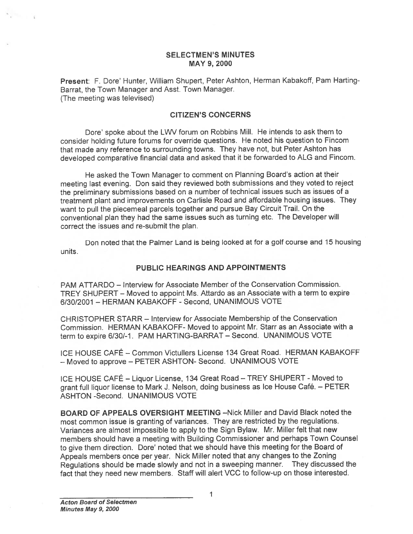## SELECTMEN'S MINUTES MAY 9, 2000

Present: F. Dore' Hunter, William Shupert, Peter Ashton, Herman Kabakoff, Pam Harting-Barrat, the Town Manager and Asst. Town Manager. (The meeting was televised)

## CITIZEN'S CONCERNS

Dore' spoke about the LWV forum on Robbins Mill. He intends to ask them to consider holding future forums for override questions. He noted his question to Fincom that made any reference to surrounding towns. They have not, but Peter Ashton has developed comparative financial data and asked that it be forwarded to ALG and Fincom.

He asked the Town Manager to comment on Planning Board's action at their meeting last evening. Don said they reviewed both submissions and they voted to reject the preliminary submissions based on <sup>a</sup> number of technical issues such as issues of <sup>a</sup> treatment <sup>p</sup>lant and improvements on Carlisle Road and affordable housing issues. They want to pull the <sup>p</sup>iecemeal parcels together and pursue Bay Circuit Trail. On the conventional <sup>p</sup>lan they had the same issues such as turning etc. The Developer will correct the issues and re-submit the plan.

Don noted that the Palmer Land is being looked at for <sup>a</sup> golf course and 15 housing units.

## PUBLIC HEARINGS AND APPOINTMENTS

PAM ATTARDO — Interview for Associate Member of the Conservation Commission. TREY SHUPERT — Moved to appoint Ms. Attardo as an Associate with <sup>a</sup> term to expire 6/30/2001 — HERMAN KABAKOFF -Second, UNANIMOUS VOTE

CHRISTOPHER STARR — Interview for Associate Membership of the Conservation Commission. HERMAN KABAKOFF- Moved to appoint Mr. Starr as an Associate with <sup>a</sup> term to expire 6/30/-i. PAM HARTING-BARRAT — Second. UNANIMOUS VOTE

ICE HOUSE CAFÉ — Common Victullers License 134 Great Road. HERMAN KABAKOFF — Moved to approve — PETER ASHTON- Second. UNANIMOUS VOTE

ICE HOUSE CAFÉ — Liquor License, <sup>134</sup> Great Road — TREY SHUPERT - Moved to gran<sup>t</sup> full liquor license to Mark J. Nelson, doing business as Ice House Café. — PETER ASHTON -Second. UNANIMOUS VOTE

BOARD OF APPEALS OVERSIGHT MEETING —Nick Millet and David Black noted the most common issue is granting of variances. They are restricted by the regulations. Variances are almost impossible to apply to the Sign Bylaw. Mr. Miller felt that new members should have <sup>a</sup> meeting with Building Commissioner and perhaps Town Counsel to <sup>g</sup>ive them direction. Dore' noted that we should have this meeting for the Board of Appeals members once per year. Nick Miller noted that any changes to the Zoning Regulations should be made slowly and not in <sup>a</sup> sweeping manner. They discussed the fact that they need new members. Staff will alert VCC to follow-up on those interested.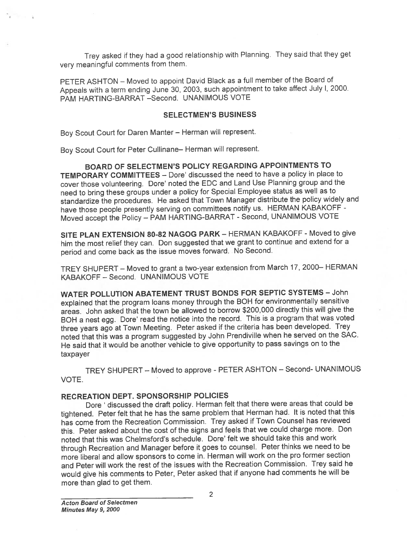Trey asked if they had <sup>a</sup> goo<sup>d</sup> relationship with Planning. They said that they ge<sup>t</sup> very meaningful comments from them.

PETER ASHTON — Moved to appoint David Black as <sup>a</sup> full member of the Board of Appeals with <sup>a</sup> term ending June 30, 2003, such appointment to take affect July I. 2000. PAM HARTING-BARRAT -Second. UNANIMOUS VOTE

### SELECTMEN'S BUSINESS

Boy Scout Court for Daren Manter — Herman will represent.

Boy Scout Court for Peter Cullinane— Herman will represent.

BOARD OF SELECTMEN'S POLICY REGARDING APPOINTMENTS TO TEMPORARY COMMITTEES — Dore' discussed the need to have <sup>a</sup> policy in place to cover those volunteering. Dore' noted the EDO and Land Use Planning group and the need to bring these groups under <sup>a</sup> policy for Special Employee status as well as to standardize the procedures. He asked that Town Manager distribute the policy widely and have those people presently serving on committees notify us. HERMAN KABAKOFF - Moved accep<sup>t</sup> the Policy — PAM HARTING-BARRAT -Second, UNANIMOUS VOTE

SITE PLAN EXTENSION 80-82 NAGOG PARK - HERMAN KABAKOFF - Moved to give him the most relief they can. Don suggested that we gran<sup>t</sup> to continue and extend for <sup>a</sup> period and come back as the issue moves forward. No Second.

TREY SHUPERT— Moved to gran<sup>t</sup> <sup>a</sup> two-year extension from March 17, 2000— HERMAN KABAKOFF — Second. UNANIMOUS VOTE

WATER POLLUTION ABATEMENT TRUST BONDS FOR SEPTIC SYSTEMS — John explained that the program loans money through the BOH for environmentally sensitive areas. John asked that the town be allowed to borrow \$200,000 directly this will <sup>g</sup>ive the BOH <sup>a</sup> nest egg. Dore' read the notice into the record. This is <sup>a</sup> program that was voted three years ago at Town Meeting. Peter asked if the criteria has been developed. Trey noted that this was <sup>a</sup> program suggested by John Prendiville when he served on the SAC. He said that it would be another vehicle to <sup>g</sup>ive opportunity to pass savings on to the taxpayer

TREY SHUPERT — Moved to approve - PETER ASHTON — Second- UNANIMOUS VOTE.

## RECREATION DEPT. SPONSORSHIP POLICIES

Dore ' discussed the draft policy. Herman felt that there were areas that could be tightened. Peter felt that he has the same problem that Herman had. It is noted that this has come from the Recreation Commission. Trey asked if Town Counsel has reviewed this. Peter asked about the cost of the signs and feels that we could charge more. Don noted that this was Chelmsford's schedule. Dore' felt we should take this and work through Recreation and Manager before it goes to counsel. Peter thinks we need to be more liberal and allow sponsors to come in. Herman will work on the pro former section and Peter will work the rest of the issues with the Recreation Commission. Trey said he would <sup>g</sup>ive his comments to Peter, Peter asked that if anyone had comments he will be more than glad to ge<sup>t</sup> them.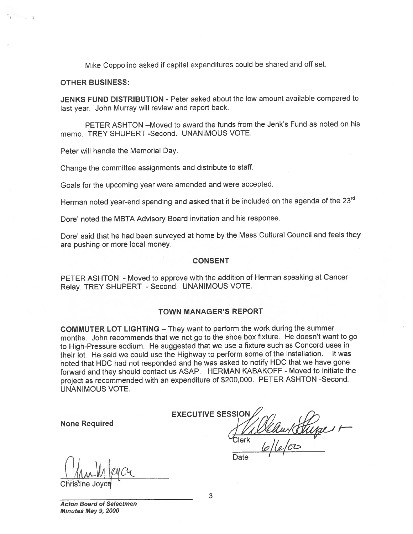Mike Coppolino asked if capital expenditures could be shared and off set.

#### OTHER BUSINESS:

4

**JENKS FUND DISTRIBUTION** - Peter asked about the low amount available compared to last year. John Murray will review and repor<sup>t</sup> back.

PETER ASHTON —Moved to award the funds from the Jenk's Fund as noted on his memo. TREY SHUPERT -Second. UNANIMOUS VOTE.

Peter will handle the Memorial Day.

Change the committee assignments and distribute to staff.

Goals for the upcoming year were amended and were accepted.

Herman noted year-end spending and asked that it be included on the agenda of the 23<sup>rd</sup>

Dore' noted the MBTA Advisory Board invitation and his response.

Dore' said that he had been surveye<sup>d</sup> at home by the Mass Cultural Council and feels they are pushing or more local money.

#### CONSENT

PETER ASHTON - Moved to approve with the addition of Herman speaking at Cancer Relay. TREY SHUPERT - Second. UNANIMOUS VOTE.

### TOWN MANAGER'S REPORT

COMMUTER LOT LIGHTING — They want to perform the work during the summer months. John recommends that we not go to the shoe box fixture. He doesn't want to go to High-Pressure sodium. He suggested that we use <sup>a</sup> fixture such as Concord uses in their lot. He said we could use the Highway to perform some of the installation. It was noted that HDC had not responded and he was asked to notify HDC that we have gone forward and they should contact us ASAP. HERMAN KABAKOFF - Moved to initiate the project as recommended with an expenditure of \$200,000. PETER ASHTON -Second. UNANIMOUS VOTE.

None Required

**EXECUTIVE SESSIOI** er **Date** 

 $\frac{1}{\text{Christine Joyce}}$ 

Acton Board of Selectmen Minutes May 9, 2000

3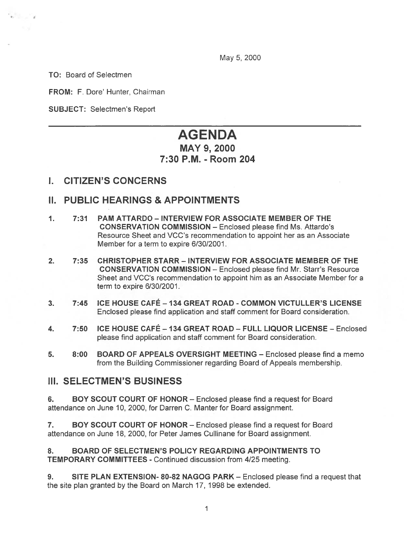May 5, 2000

TO: Board of Selectmen

FROM: F. Dore' Hunter, Chairman

SUBJECT: Selectmen's Report

# AGENDA

# MAY 9, 2000 7:30 P.M. -Room 204

# I. CITIZEN'S CONCERNS

# II. PUBLIC HEARINGS & APPOINTMENTS

- 1. 7:31 PAM ATTARDO INTERVIEW FOR ASSOCIATE MEMBER OF THE CONSERVATION COMMISSION — Enclosed please find Ms. Attardo's Resource Sheet and VCC's recommendation to appoint her as an Associate Member for <sup>a</sup> term to expire 6/30/2001.
- 2. 7:35 CHRISTOPHER STARR INTERVIEW FOR ASSOCIATE MEMBER OF THE CONSERVATION COMMISSION — Enclosed please find Mt. Start's Resource Sheet and VCC's recommendation to appoint him as an Associate Member for <sup>a</sup> term to expire 6/30/2001.
- 3. 7:45 ICE HOUSE CAFÉ —134 GREAT ROAD COMMON VICTULLER'S LICENSE Enclosed please find application and staff comment for Board consideration.
- 4. 7:50 ICE HOUSE CAFÉ <sup>134</sup> GREAT ROAD FULL LIQUOR LICENSE Enclosed please find application and staff comment for Board consideration.
- 5. 8:00 BOARD OF APPEALS OVERSIGHT MEETING Enclosed please find <sup>a</sup> memo from the Building Commissioner regarding Board of Appeals membership.

## III. SELECTMEN'S BUSINESS

6. BOY SCOUT COURT OF HONOR — Enclosed please find <sup>a</sup> reques<sup>t</sup> for Board attendance on June 10, 2000, for Darren C. Manter for Board assignment.

7. BOY SCOUT COURT OF HONOR — Enclosed please find <sup>a</sup> reques<sup>t</sup> for Board attendance on June 18, 2000, for Peter James Cullinane for Board assignment.

8. BOARD OF SELECTMEN'S POLICY REGARDING APPOINTMENTS TO TEMPORARY COMMITTEES - Continued discussion from 4/25 meeting.

9. SITE PLAN EXTENSION- 80-82 NAGOG PARK — Enclosed please find <sup>a</sup> reques<sup>t</sup> that the site plan granted by the Board on March 17, 1998 be extended.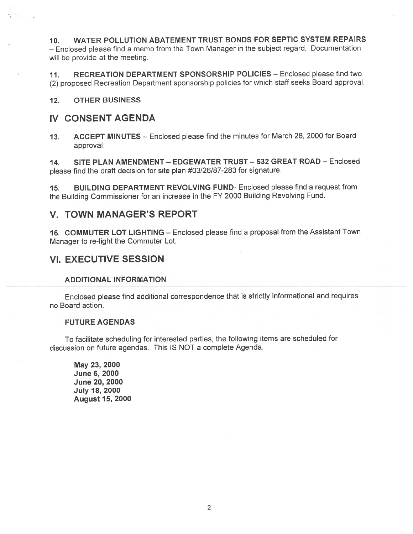10. WATER POLLUTION ABATEMENT TRUST BONDS FOR SEPTIC SYSTEM REPAIRS — Enclosed <sup>p</sup>lease find <sup>a</sup> memo from the Town Manager in the subject regard. Documentation will be provide at the meeting.

11. RECREATION DEPARTMENT SPONSORSHIP POLICIES — Enclosed please find two (2) propose<sup>d</sup> Recreation Department sponsorship policies for which staff seeks Board approval.

### 12. OTHER BUSINESS

## IV CONSENT AGENDA

13. ACCEPT MINUTES — Enclosed <sup>p</sup>lease find the minutes for March 28, <sup>2000</sup> for Board approval.

14. SITE PLAN AMENDMENT — EDGEWATER TRUST — 532 GREAT ROAD — Enclosed <sup>p</sup>lease find the draft decision for site <sup>p</sup>lan #03/26/87-283 for signature.

15. BUILDING DEPARTMENT REVOLVING FUND- Enclosed please find <sup>a</sup> reques<sup>t</sup> from the Building Commissioner for an increase in the FY <sup>2000</sup> Building Revolving Fund.

## V. TOWN MANAGER'S REPORT

16. COMMUTER LOT LIGHTING — Enclosed <sup>p</sup>lease find <sup>a</sup> proposal from the Assistant Town Manager to re-light the Commuter Lot.

## VI. EXECUTIVE SESSION

### ADDITIONAL INFORMATION

Enclosed <sup>p</sup>lease find additional correspondence that is strictly informational and requires no Board action.

### FUTURE AGENDAS

To facilitate scheduling for interested parties, the following items are scheduled for discussion on future agendas. This IS NOT <sup>a</sup> complete Agenda.

May 23, 2000 June 6, 2000 June 20, 2000 July 18, 2000 August 15, 2000